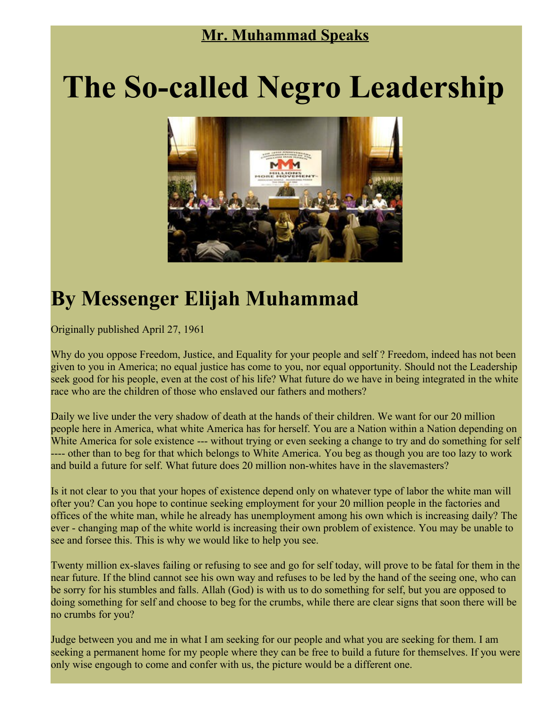## **Mr. Muhammad Speaks**

## **The So-called Negro Leadership**



## **By Messenger Elijah Muhammad**

Originally published April 27, 1961

Why do you oppose Freedom, Justice, and Equality for your people and self? Freedom, indeed has not been given to you in America; no equal justice has come to you, nor equal opportunity. Should not the Leadership seek good for his people, even at the cost of his life? What future do we have in being integrated in the white race who are the children of those who enslaved our fathers and mothers?

Daily we live under the very shadow of death at the hands of their children. We want for our 20 million people here in America, what white America has for herself. You are a Nation within a Nation depending on White America for sole existence --- without trying or even seeking a change to try and do something for self ---- other than to beg for that which belongs to White America. You beg as though you are too lazy to work and build a future for self. What future does 20 million non-whites have in the slavemasters?

Is it not clear to you that your hopes of existence depend only on whatever type of labor the white man will ofter you? Can you hope to continue seeking employment for your 20 million people in the factories and offices of the white man, while he already has unemployment among his own which is increasing daily? The ever - changing map of the white world is increasing their own problem of existence. You may be unable to see and forsee this. This is why we would like to help you see.

Twenty million ex-slaves failing or refusing to see and go for self today, will prove to be fatal for them in the near future. If the blind cannot see his own way and refuses to be led by the hand of the seeing one, who can be sorry for his stumbles and falls. Allah (God) is with us to do something for self, but you are opposed to doing something for self and choose to beg for the crumbs, while there are clear signs that soon there will be no crumbs for you?

Judge between you and me in what I am seeking for our people and what you are seeking for them. I am seeking a permanent home for my people where they can be free to build a future for themselves. If you were only wise engough to come and confer with us, the picture would be a different one.